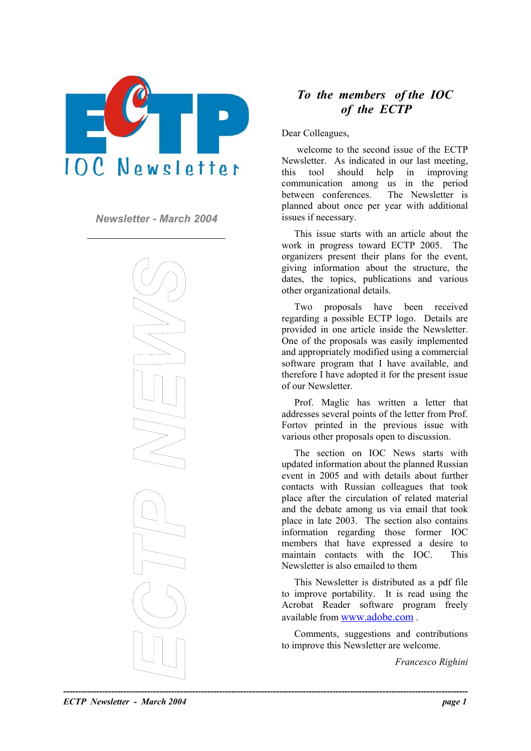

*Newsletter - March 2004* issues if necessary.



# *To the members of the IOC of the ECTP*

Dear Colleagues,

welcome to the second issue of the ECTP Newsletter. As indicated in our last meeting, this tool should help in improving communication among us in the period between conferences. The Newsletter is planned about once per year with additional

This issue starts with an article about the work in progress toward ECTP 2005. The organizers present their plans for the event, giving information about the structure, the dates, the topics, publications and various other organizational details.

Two proposals have been received regarding a possible ECTP logo. Details are provided in one article inside the Newsletter. One of the proposals was easily implemented and appropriately modified using a commercial software program that I have available, and therefore I have adopted it for the present issue of our Newsletter.

Prof. Maglic has written a letter that addresses several points of the letter from Prof. Fortov printed in the previous issue with various other proposals open to discussion.

The section on IOC News starts with updated information about the planned Russian event in 2005 and with details about further contacts with Russian colleagues that took place after the circulation of related material and the debate among us via email that took place in late 2003. The section also contains information regarding those former IOC members that have expressed a desire to maintain contacts with the IOC. This Newsletter is also emailed to them

This Newsletter is distributed as a pdf file to improve portability. It is read using the Acrobat Reader software program freely available from [www.adobe.com](http://www.adobe.com/) .

Comments, suggestions and contributions to improve this Newsletter are welcome.

*Francesco Righini*

*ECTP Newsletter - March 2004 page 1*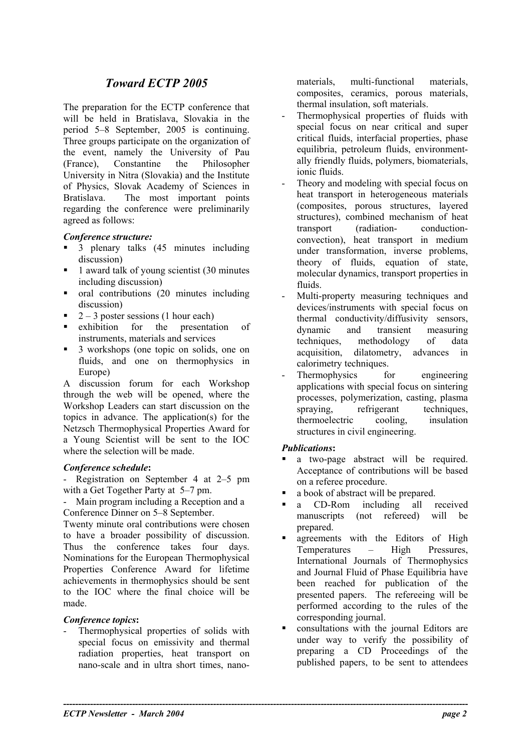# *Toward ECTP 2005*

The preparation for the ECTP conference that will be held in Bratislava, Slovakia in the period 5–8 September, 2005 is continuing. Three groups participate on the organization of the event, namely the University of Pau (France), Constantine the Philosopher University in Nitra (Slovakia) and the Institute of Physics, Slovak Academy of Sciences in Bratislava. The most important points regarding the conference were preliminarily agreed as follows:

#### *Conference structure:*

- 3 plenary talks (45 minutes including discussion)
- 1 award talk of young scientist (30 minutes including discussion)
- oral contributions (20 minutes including discussion)
- $2 3$  poster sessions (1 hour each)
- exhibition for the presentation of instruments, materials and services
- 3 workshops (one topic on solids, one on fluids, and one on thermophysics in Europe)

A discussion forum for each Workshop through the web will be opened, where the Workshop Leaders can start discussion on the topics in advance. The application(s) for the Netzsch Thermophysical Properties Award for a Young Scientist will be sent to the IOC where the selection will be made.

#### *Conference schedule***:**

Registration on September 4 at 2–5 pm with a Get Together Party at 5–7 pm.

- Main program including a Reception and a Conference Dinner on 5–8 September.

Twenty minute oral contributions were chosen to have a broader possibility of discussion. Thus the conference takes four days. Nominations for the European Thermophysical Properties Conference Award for lifetime achievements in thermophysics should be sent to the IOC where the final choice will be made.

### *Conference topics***:**

Thermophysical properties of solids with special focus on emissivity and thermal radiation properties, heat transport on nano-scale and in ultra short times, nanomaterials, multi-functional materials, composites, ceramics, porous materials, thermal insulation, soft materials.

- Thermophysical properties of fluids with special focus on near critical and super critical fluids, interfacial properties, phase equilibria, petroleum fluids, environmentally friendly fluids, polymers, biomaterials, ionic fluids.
- Theory and modeling with special focus on heat transport in heterogeneous materials (composites, porous structures, layered structures), combined mechanism of heat transport (radiation- conductionconvection), heat transport in medium under transformation, inverse problems, theory of fluids, equation of state, molecular dynamics, transport properties in fluids.
- Multi-property measuring techniques and devices/instruments with special focus on thermal conductivity/diffusivity sensors, dynamic and transient measuring techniques, methodology of data acquisition, dilatometry, advances in calorimetry techniques.
- Thermophysics for engineering applications with special focus on sintering processes, polymerization, casting, plasma spraying, refrigerant techniques, thermoelectric cooling, insulation structures in civil engineering.

### *Publications***:**

**----------------------------------------------------------------------------------------------------------------------------------------** 

- a two-page abstract will be required. Acceptance of contributions will be based on a referee procedure.
- a book of abstract will be prepared.
- **a** CD-Rom including all received manuscripts (not refereed) will be prepared.
- agreements with the Editors of High Temperatures – High Pressures, International Journals of Thermophysics and Journal Fluid of Phase Equilibria have been reached for publication of the presented papers. The refereeing will be performed according to the rules of the corresponding journal.
- consultations with the journal Editors are under way to verify the possibility of preparing a CD Proceedings of the published papers, to be sent to attendees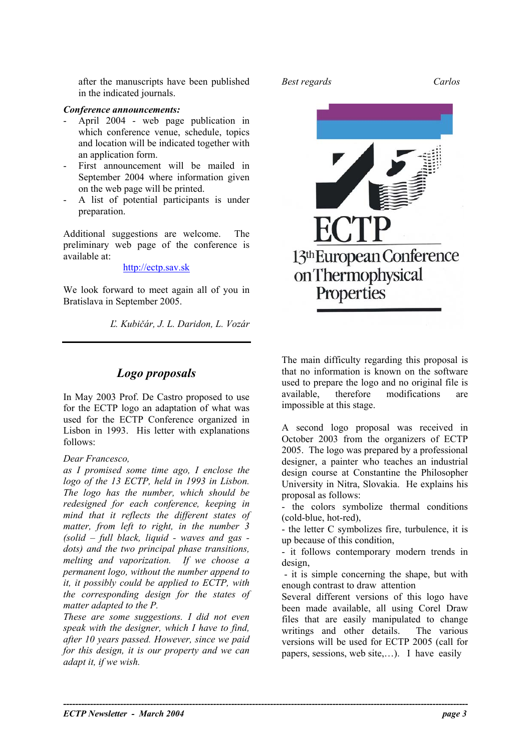after the manuscripts have been published *Best regards Carlos*  in the indicated journals.

#### *Conference announcements:*

- April 2004 web page publication in which conference venue, schedule, topics and location will be indicated together with an application form.
- First announcement will be mailed in September 2004 where information given on the web page will be printed.
- A list of potential participants is under preparation.

Additional suggestions are welcome. The preliminary web page of the conference is available at:

#### [http://ectp.sav.sk](http://ectp.sav.sk/)

We look forward to meet again all of you in Bratislava in September 2005.

*Ľ. Kubičár, J. L. Daridon, L. Vozár* 

## *Logo proposals*

In May 2003 Prof. De Castro proposed to use for the ECTP logo an adaptation of what was used for the ECTP Conference organized in Lisbon in 1993. His letter with explanations follows:

#### *Dear Francesco,*

*as I promised some time ago, I enclose the logo of the 13 ECTP, held in 1993 in Lisbon. The logo has the number, which should be redesigned for each conference, keeping in mind that it reflects the different states of matter, from left to right, in the number 3 (solid – full black, liquid - waves and gas dots) and the two principal phase transitions, melting and vaporization. If we choose a permanent logo, without the number append to it, it possibly could be applied to ECTP, with the corresponding design for the states of matter adapted to the P.* 

*These are some suggestions. I did not even speak with the designer, which I have to find, after 10 years passed. However, since we paid for this design, it is our property and we can adapt it, if we wish.* 

**----------------------------------------------------------------------------------------------------------------------------------------** 



The main difficulty regarding this proposal is that no information is known on the software used to prepare the logo and no original file is available, therefore modifications are impossible at this stage.

A second logo proposal was received in October 2003 from the organizers of ECTP 2005. The logo was prepared by a professional designer, a painter who teaches an industrial design course at Constantine the Philosopher University in Nitra, Slovakia. He explains his proposal as follows:

- the colors symbolize thermal conditions (cold-blue, hot-red),

- the letter C symbolizes fire, turbulence, it is up because of this condition,

- it follows contemporary modern trends in design,

- it is simple concerning the shape, but with enough contrast to draw attention

Several different versions of this logo have been made available, all using Corel Draw files that are easily manipulated to change writings and other details. The various versions will be used for ECTP 2005 (call for papers, sessions, web site,…). I have easily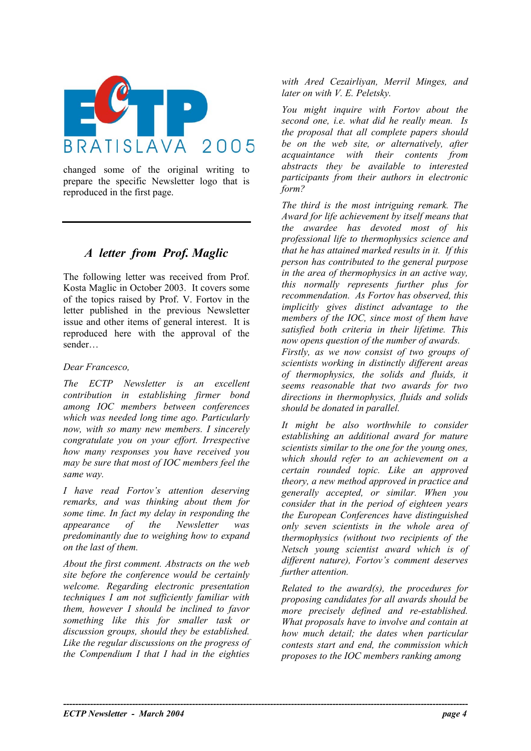

changed some of the original writing to prepare the specific Newsletter logo that is reproduced in the first page.

# *A letter from Prof. Maglic*

The following letter was received from Prof. Kosta Maglic in October 2003. It covers some of the topics raised by Prof. V. Fortov in the letter published in the previous Newsletter issue and other items of general interest. It is reproduced here with the approval of the sender…

### *Dear Francesco,*

*The ECTP Newsletter is an excellent contribution in establishing firmer bond among IOC members between conferences which was needed long time ago. Particularly now, with so many new members. I sincerely congratulate you on your effort. Irrespective how many responses you have received you may be sure that most of IOC members feel the same way.* 

*I have read Fortov's attention deserving remarks, and was thinking about them for some time. In fact my delay in responding the appearance of the Newsletter was predominantly due to weighing how to expand on the last of them.* 

*About the first comment. Abstracts on the web site before the conference would be certainly welcome. Regarding electronic presentation techniques I am not sufficiently familiar with them, however I should be inclined to favor something like this for smaller task or discussion groups, should they be established. Like the regular discussions on the progress of the Compendium I that I had in the eighties* 

*with Ared Cezairliyan, Merril Minges, and later on with V. E. Peletsky.* 

*You might inquire with Fortov about the second one, i.e. what did he really mean. Is the proposal that all complete papers should be on the web site, or alternatively, after acquaintance with their contents from abstracts they be available to interested participants from their authors in electronic form?* 

*The third is the most intriguing remark. The Award for life achievement by itself means that the awardee has devoted most of his professional life to thermophysics science and that he has attained marked results in it. If this person has contributed to the general purpose in the area of thermophysics in an active way, this normally represents further plus for recommendation. As Fortov has observed, this implicitly gives distinct advantage to the members of the IOC, since most of them have satisfied both criteria in their lifetime. This now opens question of the number of awards. Firstly, as we now consist of two groups of scientists working in distinctly different areas of thermophysics, the solids and fluids, it seems reasonable that two awards for two directions in thermophysics, fluids and solids should be donated in parallel.* 

*It might be also worthwhile to consider establishing an additional award for mature scientists similar to the one for the young ones, which should refer to an achievement on a certain rounded topic. Like an approved theory, a new method approved in practice and generally accepted, or similar. When you consider that in the period of eighteen years the European Conferences have distinguished only seven scientists in the whole area of thermophysics (without two recipients of the Netsch young scientist award which is of different nature), Fortov's comment deserves further attention.* 

*Related to the award(s), the procedures for proposing candidates for all awards should be more precisely defined and re-established. What proposals have to involve and contain at how much detail; the dates when particular contests start and end, the commission which proposes to the IOC members ranking among* 

**----------------------------------------------------------------------------------------------------------------------------------------**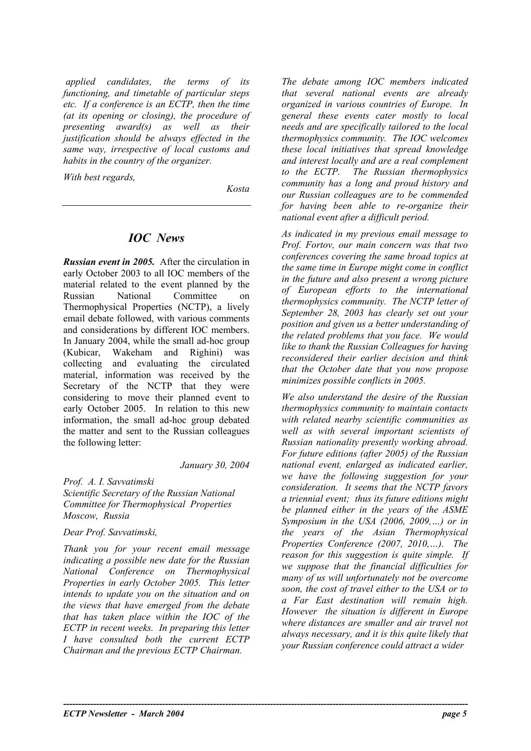*applied candidates, the terms of its functioning, and timetable of particular steps etc. If a conference is an ECTP, then the time (at its opening or closing), the procedure of presenting award(s) as well as their justification should be always effected in the same way, irrespective of local customs and habits in the country of the organizer.* 

*With best regards,* 

*Kosta* 

## *IOC News*

*Russian event in 2005.* After the circulation in early October 2003 to all IOC members of the material related to the event planned by the Russian National Committee on Thermophysical Properties (NCTP), a lively email debate followed, with various comments and considerations by different IOC members. In January 2004, while the small ad-hoc group (Kubicar, Wakeham and Righini) was collecting and evaluating the circulated material, information was received by the Secretary of the NCTP that they were considering to move their planned event to early October 2005. In relation to this new information, the small ad-hoc group debated the matter and sent to the Russian colleagues the following letter:

*January 30, 2004* 

**----------------------------------------------------------------------------------------------------------------------------------------** 

*Prof. A. I. Savvatimski Scientific Secretary of the Russian National Committee for Thermophysical Properties Moscow, Russia* 

*Dear Prof. Savvatimski,* 

*Thank you for your recent email message indicating a possible new date for the Russian National Conference on Thermophysical Properties in early October 2005. This letter intends to update you on the situation and on the views that have emerged from the debate that has taken place within the IOC of the ECTP in recent weeks. In preparing this letter I have consulted both the current ECTP Chairman and the previous ECTP Chairman.* 

*The debate among IOC members indicated that several national events are already organized in various countries of Europe. In general these events cater mostly to local needs and are specifically tailored to the local thermophysics community. The IOC welcomes these local initiatives that spread knowledge and interest locally and are a real complement to the ECTP. The Russian thermophysics community has a long and proud history and our Russian colleagues are to be commended for having been able to re-organize their national event after a difficult period.* 

*As indicated in my previous email message to Prof. Fortov, our main concern was that two conferences covering the same broad topics at the same time in Europe might come in conflict in the future and also present a wrong picture of European efforts to the international thermophysics community. The NCTP letter of September 28, 2003 has clearly set out your position and given us a better understanding of the related problems that you face. We would like to thank the Russian Colleagues for having reconsidered their earlier decision and think that the October date that you now propose minimizes possible conflicts in 2005.* 

*We also understand the desire of the Russian thermophysics community to maintain contacts with related nearby scientific communities as well as with several important scientists of Russian nationality presently working abroad. For future editions (after 2005) of the Russian national event, enlarged as indicated earlier, we have the following suggestion for your consideration. It seems that the NCTP favors a triennial event; thus its future editions might be planned either in the years of the ASME Symposium in the USA (2006, 2009,…) or in the years of the Asian Thermophysical Properties Conference (2007, 2010,…). The reason for this suggestion is quite simple. If we suppose that the financial difficulties for many of us will unfortunately not be overcome soon, the cost of travel either to the USA or to a Far East destination will remain high. However the situation is different in Europe where distances are smaller and air travel not always necessary, and it is this quite likely that your Russian conference could attract a wider*